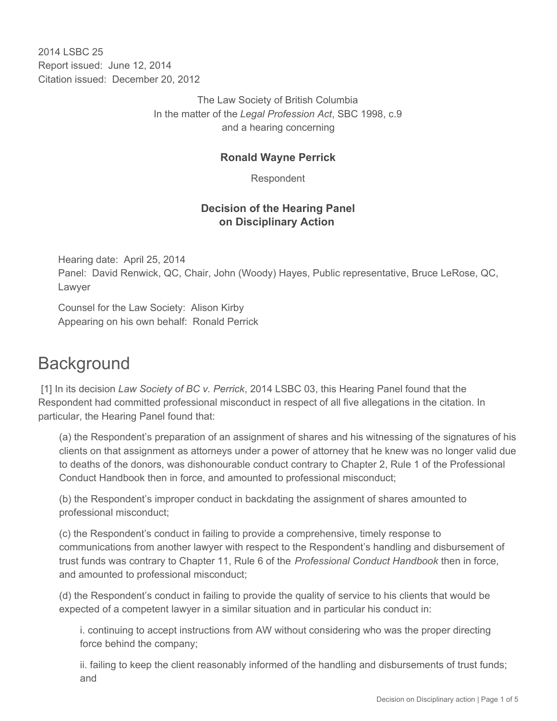2014 I SBC 25 Report issued: June 12, 2014 Citation issued: December 20, 2012

> The Law Society of British Columbia In the matter of the *Legal Profession Act*, SBC 1998, c.9 and a hearing concerning

### **Ronald Wayne Perrick**

Respondent

## **Decision of the Hearing Panel on Disciplinary Action**

Hearing date: April 25, 2014 Panel: David Renwick, QC, Chair, John (Woody) Hayes, Public representative, Bruce LeRose, QC, Lawyer

Counsel for the Law Society: Alison Kirby Appearing on his own behalf: Ronald Perrick

# **Background**

 [1] In its decision *Law Society of BC v. Perrick*, 2014 LSBC 03, this Hearing Panel found that the Respondent had committed professional misconduct in respect of all five allegations in the citation. In particular, the Hearing Panel found that:

(a) the Respondent's preparation of an assignment of shares and his witnessing of the signatures of his clients on that assignment as attorneys under a power of attorney that he knew was no longer valid due to deaths of the donors, was dishonourable conduct contrary to Chapter 2, Rule 1 of the Professional Conduct Handbook then in force, and amounted to professional misconduct;

(b) the Respondent's improper conduct in backdating the assignment of shares amounted to professional misconduct;

(c) the Respondent's conduct in failing to provide a comprehensive, timely response to communications from another lawyer with respect to the Respondent's handling and disbursement of trust funds was contrary to Chapter 11, Rule 6 of the *Professional Conduct Handbook* then in force, and amounted to professional misconduct;

(d) the Respondent's conduct in failing to provide the quality of service to his clients that would be expected of a competent lawyer in a similar situation and in particular his conduct in:

i. continuing to accept instructions from AW without considering who was the proper directing force behind the company;

ii. failing to keep the client reasonably informed of the handling and disbursements of trust funds; and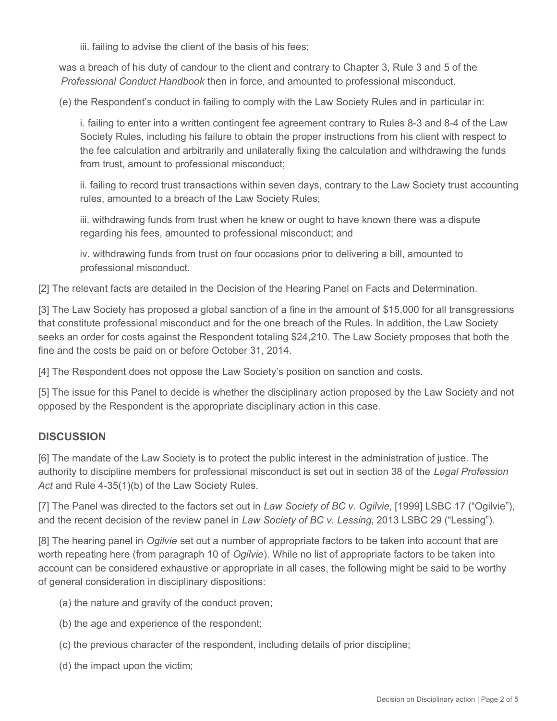iii. failing to advise the client of the basis of his fees;

was a breach of his duty of candour to the client and contrary to Chapter 3, Rule 3 and 5 of the *Professional Conduct Handbook* then in force, and amounted to professional misconduct.

(e) the Respondent's conduct in failing to comply with the Law Society Rules and in particular in:

i. failing to enter into a written contingent fee agreement contrary to Rules 8-3 and 8-4 of the Law Society Rules, including his failure to obtain the proper instructions from his client with respect to the fee calculation and arbitrarily and unilaterally fixing the calculation and withdrawing the funds from trust, amount to professional misconduct;

ii. failing to record trust transactions within seven days, contrary to the Law Society trust accounting rules, amounted to a breach of the Law Society Rules;

iii. withdrawing funds from trust when he knew or ought to have known there was a dispute regarding his fees, amounted to professional misconduct; and

iv. withdrawing funds from trust on four occasions prior to delivering a bill, amounted to professional misconduct.

[2] The relevant facts are detailed in the Decision of the Hearing Panel on Facts and Determination.

[3] The Law Society has proposed a global sanction of a fine in the amount of \$15,000 for all transgressions that constitute professional misconduct and for the one breach of the Rules. In addition, the Law Society seeks an order for costs against the Respondent totaling \$24,210. The Law Society proposes that both the fine and the costs be paid on or before October 31, 2014.

[4] The Respondent does not oppose the Law Society's position on sanction and costs.

[5] The issue for this Panel to decide is whether the disciplinary action proposed by the Law Society and not opposed by the Respondent is the appropriate disciplinary action in this case.

## **DISCUSSION**

[6] The mandate of the Law Society is to protect the public interest in the administration of justice. The authority to discipline members for professional misconduct is set out in section 38 of the *Legal Profession* Act and Rule 4-35(1)(b) of the Law Society Rules.

[7] The Panel was directed to the factors set out in *Law Society of BC v. Ogilvie*, [1999] LSBC 17 ("Ogilvie"), and the recent decision of the review panel in *Law Society of BC v. Lessing*, 2013 LSBC 29 ("Lessing").

[8] The hearing panel in *Ogilvie* set out a number of appropriate factors to be taken into account that are worth repeating here (from paragraph 10 of *Ogilvie*). While no list of appropriate factors to be taken into account can be considered exhaustive or appropriate in all cases, the following might be said to be worthy of general consideration in disciplinary dispositions:

- (a) the nature and gravity of the conduct proven;
- (b) the age and experience of the respondent;
- (c) the previous character of the respondent, including details of prior discipline;
- (d) the impact upon the victim;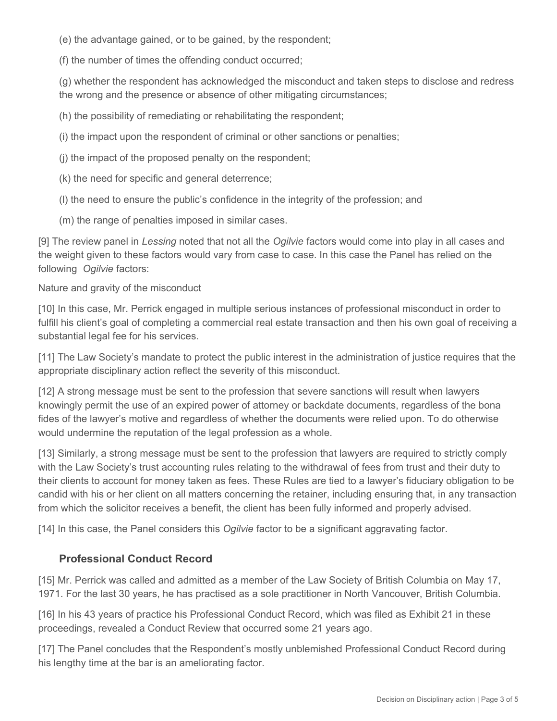(e) the advantage gained, or to be gained, by the respondent;

(f) the number of times the offending conduct occurred;

(g) whether the respondent has acknowledged the misconduct and taken steps to disclose and redress the wrong and the presence or absence of other mitigating circumstances;

(h) the possibility of remediating or rehabilitating the respondent;

(i) the impact upon the respondent of criminal or other sanctions or penalties;

(j) the impact of the proposed penalty on the respondent;

(k) the need for specific and general deterrence;

(l) the need to ensure the public's confidence in the integrity of the profession; and

(m) the range of penalties imposed in similar cases.

[9] The review panel in *Lessing* noted that not all the *Ogilvie* factors would come into play in all cases and the weight given to these factors would vary from case to case. In this case the Panel has relied on the following *Ogilvie* factors:

Nature and gravity of the misconduct

[10] In this case, Mr. Perrick engaged in multiple serious instances of professional misconduct in order to fulfill his client's goal of completing a commercial real estate transaction and then his own goal of receiving a substantial legal fee for his services.

[11] The Law Society's mandate to protect the public interest in the administration of justice requires that the appropriate disciplinary action reflect the severity of this misconduct.

[12] A strong message must be sent to the profession that severe sanctions will result when lawyers knowingly permit the use of an expired power of attorney or backdate documents, regardless of the bona fides of the lawyer's motive and regardless of whether the documents were relied upon. To do otherwise would undermine the reputation of the legal profession as a whole.

[13] Similarly, a strong message must be sent to the profession that lawyers are required to strictly comply with the Law Society's trust accounting rules relating to the withdrawal of fees from trust and their duty to their clients to account for money taken as fees. These Rules are tied to a lawyer's fiduciary obligation to be candid with his or her client on all matters concerning the retainer, including ensuring that, in any transaction from which the solicitor receives a benefit, the client has been fully informed and properly advised.

[14] In this case, the Panel considers this *Ogilvie* factor to be a significant aggravating factor.

## **Professional Conduct Record**

[15] Mr. Perrick was called and admitted as a member of the Law Society of British Columbia on May 17, 1971. For the last 30 years, he has practised as a sole practitioner in North Vancouver, British Columbia.

[16] In his 43 years of practice his Professional Conduct Record, which was filed as Exhibit 21 in these proceedings, revealed a Conduct Review that occurred some 21 years ago.

[17] The Panel concludes that the Respondent's mostly unblemished Professional Conduct Record during his lengthy time at the bar is an ameliorating factor.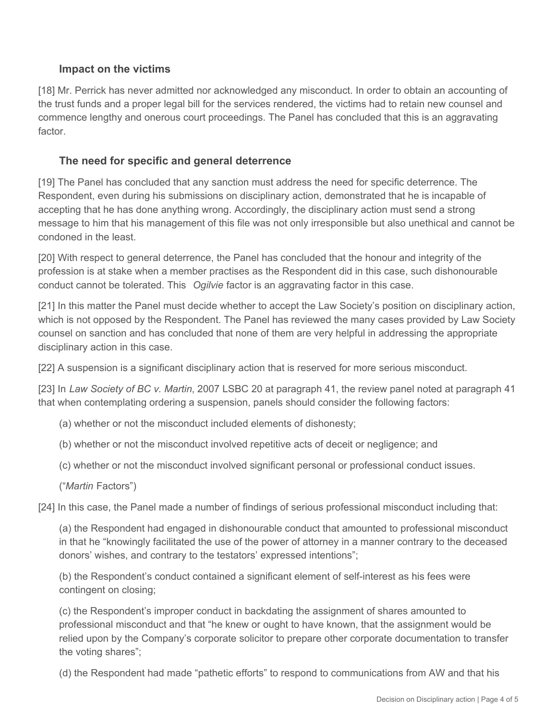### **Impact on the victims**

[18] Mr. Perrick has never admitted nor acknowledged any misconduct. In order to obtain an accounting of the trust funds and a proper legal bill for the services rendered, the victims had to retain new counsel and commence lengthy and onerous court proceedings. The Panel has concluded that this is an aggravating factor.

#### **The need for specific and general deterrence**

[19] The Panel has concluded that any sanction must address the need for specific deterrence. The Respondent, even during his submissions on disciplinary action, demonstrated that he is incapable of accepting that he has done anything wrong. Accordingly, the disciplinary action must send a strong message to him that his management of this file was not only irresponsible but also unethical and cannot be condoned in the least.

[20] With respect to general deterrence, the Panel has concluded that the honour and integrity of the profession is at stake when a member practises as the Respondent did in this case, such dishonourable conduct cannot be tolerated. This *Ogilvie* factor is an aggravating factor in this case.

[21] In this matter the Panel must decide whether to accept the Law Society's position on disciplinary action, which is not opposed by the Respondent. The Panel has reviewed the many cases provided by Law Society counsel on sanction and has concluded that none of them are very helpful in addressing the appropriate disciplinary action in this case.

[22] A suspension is a significant disciplinary action that is reserved for more serious misconduct.

[23] In *Law Society of BC v. Martin*, 2007 LSBC 20 at paragraph 41, the review panel noted at paragraph 41 that when contemplating ordering a suspension, panels should consider the following factors:

(a) whether or not the misconduct included elements of dishonesty;

(b) whether or not the misconduct involved repetitive acts of deceit or negligence; and

(c) whether or not the misconduct involved significant personal or professional conduct issues.

("*Martin* Factors")

[24] In this case, the Panel made a number of findings of serious professional misconduct including that:

(a) the Respondent had engaged in dishonourable conduct that amounted to professional misconduct in that he "knowingly facilitated the use of the power of attorney in a manner contrary to the deceased donors' wishes, and contrary to the testators' expressed intentions";

(b) the Respondent's conduct contained a significant element of self-interest as his fees were contingent on closing;

(c) the Respondent's improper conduct in backdating the assignment of shares amounted to professional misconduct and that "he knew or ought to have known, that the assignment would be relied upon by the Company's corporate solicitor to prepare other corporate documentation to transfer the voting shares";

(d) the Respondent had made "pathetic efforts" to respond to communications from AW and that his